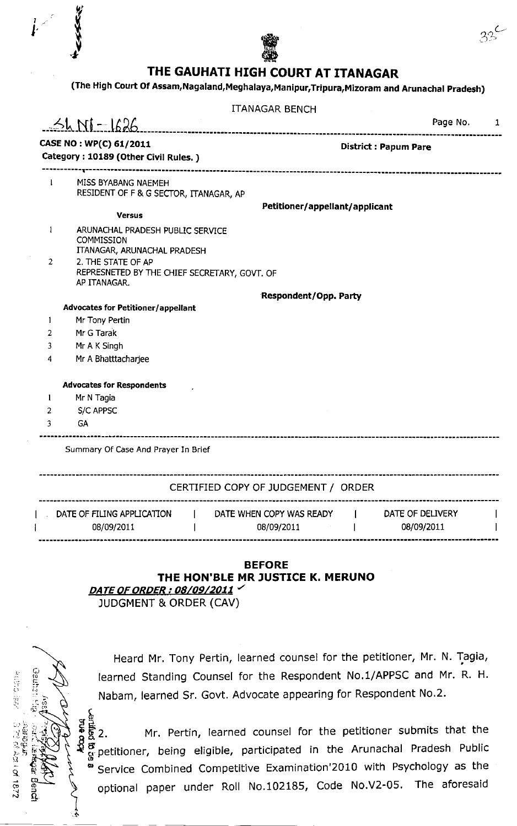

 $\boldsymbol{r}$ 

I

## THE GAUHATI HIGH COURT AT ITANAGAR

(The High court of Assam,Nagaland,Meghalaya,Manipur,Tripura,Mizoram and Arunachal pradesh)

|                                                                |                                                                                      | <b>ITANAGAR BENCH</b>                    |                  |   |
|----------------------------------------------------------------|--------------------------------------------------------------------------------------|------------------------------------------|------------------|---|
|                                                                | $-51$ $N1 - 1626$                                                                    |                                          | Page No.         | 1 |
| CASE NO: WP(C) 61/2011<br>Category: 10189 (Other Civil Rules.) |                                                                                      | <b>District: Papum Pare</b>              |                  |   |
| $\mathbf{1}$                                                   | MISS BYABANG NAEMEH<br>RESIDENT OF F & G SECTOR, ITANAGAR, AP                        |                                          |                  |   |
|                                                                | <b>Versus</b>                                                                        | Petitioner/appellant/applicant           |                  |   |
| $\mathbf{1}$                                                   | ARUNACHAL PRADESH PUBLIC SERVICE<br><b>COMMISSION</b><br>ITANAGAR, ARUNACHAL PRADESH |                                          |                  |   |
| $\mathbf{2}^{\prime}$                                          | 2. THE STATE OF AP<br>REPRESNETED BY THE CHIEF SECRETARY, GOVT. OF<br>AP ITANAGAR.   |                                          |                  |   |
|                                                                |                                                                                      | <b>Respondent/Opp. Party</b>             |                  |   |
|                                                                | <b>Advocates for Petitioner/appellant</b>                                            |                                          |                  |   |
| 1                                                              | Mr Tony Pertin                                                                       |                                          |                  |   |
| 2                                                              | Mr G Tarak                                                                           |                                          |                  |   |
| 3                                                              | Mr A K Singh                                                                         |                                          |                  |   |
| 4                                                              | Mr A Bhatttacharjee                                                                  |                                          |                  |   |
|                                                                | <b>Advocates for Respondents</b>                                                     |                                          |                  |   |
| $\mathbf{l}$                                                   | Mr N Tagia                                                                           |                                          |                  |   |
| 2                                                              | S/C APPSC                                                                            |                                          |                  |   |
| 3                                                              | <b>GA</b>                                                                            |                                          |                  |   |
|                                                                | Summary Of Case And Prayer In Brief                                                  |                                          |                  |   |
|                                                                |                                                                                      | CERTIFIED COPY OF JUDGEMENT / ORDER      |                  |   |
|                                                                | DATE OF FILING APPLICATION [                                                         | DATE WHEN COPY WAS READY<br>$\mathbf{1}$ | DATE OF DELIVERY |   |

## BEFORE THE HON'BLE MR JUSTICE K. MERUNO<br>DATE OF ORDER : 08/09/2011

JUDGMENT & ORDER (CAV)

 $\mathbf{I}$ 

08/09/2011

ر یا

 $\overline{1}$ 

{nE a, 'tl :1.  $\ddot{\circ}$ 

્તુ<br>બ્ર

s

li

o 3  $\vec{B}$ 

'ai

女性の 一部分

्के के<br>अन्य<br>**प** 

C<br>N

Heard Mr. Tony Pertin, learned counsel for the petitioner, Mr. N. Tagia, learned Standing Counsel for the Respondent No.1/APPSC and Mr. R. H. Nabam, learned Sr. Govt. Advocate appearing for Respondent No.2.

08/09/2011

08/09/2011

I.

 $\mathbf{I}$ 

2. Mr. Pertin, learned counsel for the petitioner submits that the petitioner, being eligible, participated in the Arunachal Pradesh Public service combined competitive Examination'2010 with Psychology as the optional paper under Roll No.102185, Code No.V2-05, The aforesaid 2<br>D ន្ត<br>វិនិ<sup>ត្ត</sup>  $\mathbf{p}$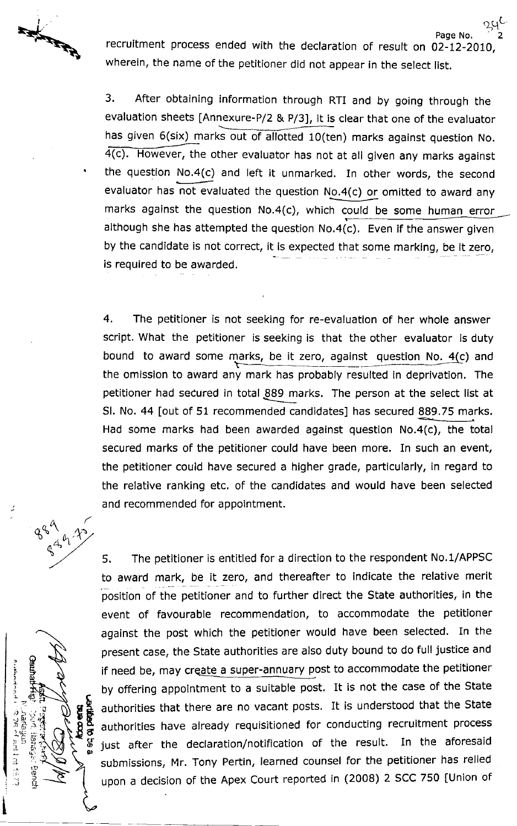**Report of the Report of the Property of the Property of the Property of the Property of the Property of the Property of the Property of The Property of The Property of The Property of The Property of The Property of The P** 

recruitment process ended with the declaration of result on 02-12-2010, wherein, the name of the petitioner did not appear in the select list.

 $25^{\circ}$ 

3. After obtaining information through RTI and by going through the evaluation sheets [Annexure-P/2 & P/3], it is clear that one of the evaluator has given 6(six) marks out of allotted 10(ten) marks against question No. 4(c). However, the other evaluator has not at all given any marks against the question No.4(c) and left it unmarked. In other words, the second evaluator has not evaluated the question No.4(c) or omitted to award any marks against the question No.4(c), which could be some human error although she has attempted the question No,4(c), Even if the answer given by the candidate is not correct, it is expected that some marking, be it zero, is required to be awarded.

4. The petitioner is not seeking for re-evaluation of her whole answer script. What the petitioner is seeking is that the other evaluator is duty bound to award some marks, be it zero, against question No. 4(c) and the omission to award any mark has probably resulted in deprivation, The petitioner had secured in total 889 marks. The person at the select list at SI. No. 44 [out of 51 recommended candidates] has secured 889.75 marks. Had some marks had been awarded against question No.4(c), the total secured marks of the petitioner could have been more. In such an event, the petitioner could have secured a higher grade, particularly, in regard to the relative ranking etc. of the candidates and would have been selected and recommended for appointment.





5. The petitioner is entitled for a direction to the respondent No.1/APPSC to award mark, be it zero, and thereafter to indicate the relative merit position of the petitioner and to further direct the State authorities, in the event of favourable recommendation, to accommodate the petitioner against the post which the petitioner would have been selected. In the present case, the state authorities are also duty bound to do full justice and if need be, may create a super-annuary post to accommodate the petitioner by offering appointment to a suitable post. It is not the case of the state authorities that there are no vacant posts. It is understood that the State authorities have already requisitioned for conducting recruitment process just after the declaration/notification of the result. In the aforesaid submissions, Mr. Tony Pertin, learned counsel for the petitioner has relied upon a decision of the Apex court reported in (2008) 2 SCC 750 [Union of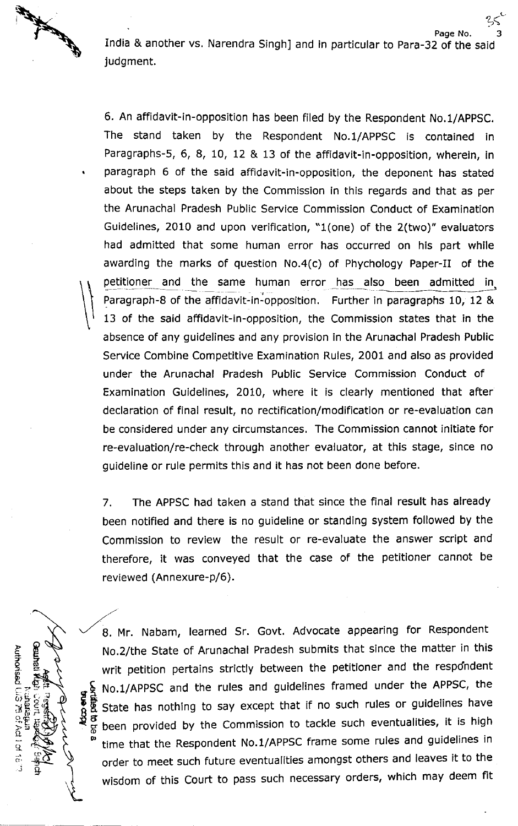All and the contract of

(lj)

g ե<br>Ծ =.

l<br>The 5. E

> c t:?

> > t\_11 วิ<br>9

t, J

6

 $\mathcal{L}$ 

o: S' -, c, .ri o.a

 $\frac{1}{1}$ 9.

Page No. India & another vs. Narendra Singh] and in particular to Para-32 of the said judgment. 3

L-

6. An affidavit-in-opposition has been filed by the Respondent No.1/AppSC. The stand taken by the Respondent No.1/AppSC is contained in Paragraphs-S, 6, 8, 10, 12 & 13 of the affidavit-in-opposition, wherein, in paragraph 6 of the said afFidavit-in-opposition, the deponent has stated about the steps taken by the Commission in this regards and that as per the Arunachal Pradesh Public Service Commission Conduct of Examination Guidelines, 2010 and upon verification, "1(one) of the 2(two)" evaluators had admitted that some human error has occurred on his part while awarding the marks of question No.4(c) of Phychology Paper-II of the petitioner and the same human error has also been admitted in Paragraph-8 of the affidavit-in-opposition. Further in paragraphs 10, 12 & 13 of the said affidavit-in-opposition, the Commission states that in the absence of any guidelines and any provision in the Arunachal Pradesh Public Service Combine Competitive Examination Rules, 2001 and also as provided under the Arunachal Pradesh Public Service Commission Conduct of Examination Guidelines, 2010, where it is clearly mentioned that after declaration of final result, no rectification/modification or re-evaluation can be considered under any circumstances. The Commission cannot initiate for re-evaluation/re-check through another evaluator, at this stage, since no guideline or rule permits this and it has not been done before.

7. The APPSC had taken a stand that since the final result has already been notified and there is no guideline or standing system followed by the Commission to review the result or re-evaluate the answer script and therefore, it was conveyed that the case of the petitioner cannot be reviewed (Annexure-p/6).

8. Mr. Nabam, learned Sr. Govt. Advocate appearing for Respondent No.2/the state of Arunachal Pradesh submits that since the matter in this writ petition pertains strictly between the petitioner and the respdndent No.1/APPSC and the rules and guidelines framed under the APPSC, the state has nothing to say except that if no such rules or guidelines have been provided by the commission to tackle such eventualities, it is high time that the Respondent No.1/APPSC frame some rules and guidelines in order to meet such future eventualities amongst others and leaves it to the wisdom of this Court to pass such necessary orders, which may deem fit ring<br>Si  ${\bf \breve{g}}$   $\stackrel{\alpha}{\bf \breve{g}}$ o,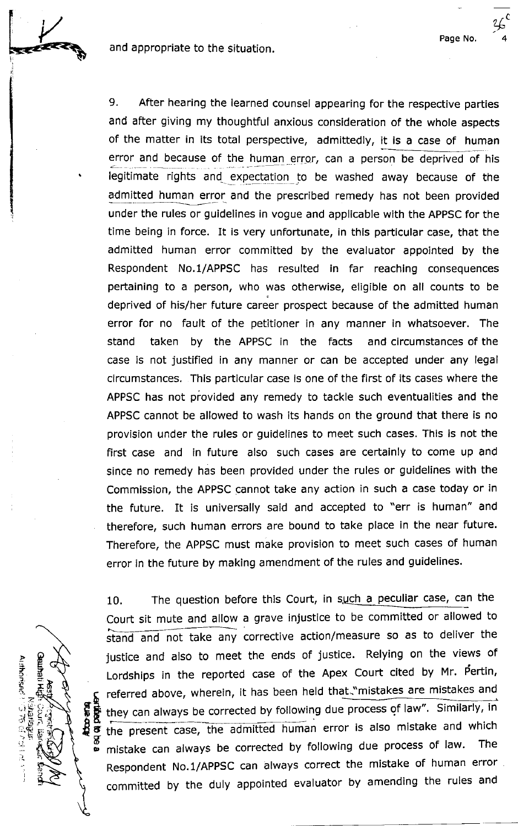and appropriate to the situation.



**INGLES OF** I !

> P t 5 3 '.7- ,.'5

Senheit<sup>1</sup>

 $\ddot{\rm c}$ 

 $\mathbf{r}$ 

 $\tilde{\mathbb{P}}$ 

ن<br>پر

(h

م نسخة المنا  $\frac{1}{2}$ 

 $\mathbf{p}$ 

 $\sim$  $\geq \frac{17}{21}$ 

9. After hearing the learned counsel appearing for the respective parties and after giving my thoughtful anxious consideration of the whole aspects of the matter in its total perspective, admittedly, it is a case of human error and because of the human error, can a person be deprived of his legitimate rights and expectation to be washed away because of the admitted human error and the prescribed remedy has not been provided under the rules or guidelines in vogue and applicable with the APPSC for the time being in force. It is very unfortunate, in this particular case, that the admitted human error committed by the evaluator appointed by the Respondent No.1/APPSC has resulted in far reaching consequences pertaining to a person, who was otherwise, eligible on all counts to be deprived of his/her future career prospect because of the admitted human error for no fault of the petitioner in any manner in whatsoever. The stand taken by the APPSC in the facts and circumstances of the case is not justifled in any manner or can be accepted under any legal circumstances, This particular case is one of the first of its cases where the APPSC has not provided any remedy to tackle such eventualities and the APPSC cannot be allowed to wash its hands on the ground that there is no provision under the rules or guidelines to meet such cases, This is not the first case and in future also such cases are certalnly to come up and since no remedy has been provided under the rules or guidelines with the Commission, the APPSC cannot take any action in such a case today or in the future. It is universally said and accepted to "err is human" and therefore, such human errors are bound to take place ln the near future. Therefore, the APPSC must make provision to meet such cases of human error in the future by making amendment of the rules and guidelines.

c t).

Page No. 4

10. The question before this Court, in such a peculiar case, can the court sit mute and allow a grave injustice to be committed or allowed to stand and not take any corrective action/measure so as to deliver the justice and also to meet the ends of justice. Relying on the views of Lordships in the reported case of the Apex Court cited by Mr. Pertin, referred above, wherein, it has been held that-"mistakes are mistakes and they can always be corrected by following due process of law". Similarly, in the present case, the admitted human error is also mistake and which mistake can always be corrected by following due process of law. The Respondent No.1/APPSC can always correct the mistake of human error committed by the duly appointed evaluator by amending the rules and **REGIONAL**<br>HORROUT